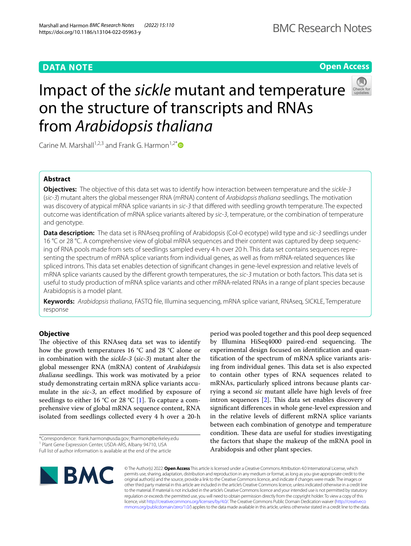# **DATA NOTE**

# **Open Access**



# Impact of the *sickle* mutant and temperature on the structure of transcripts and RNAs from *Arabidopsis thaliana*

Carine M. Marshall<sup>1,2,3</sup> and Frank G. Harmon<sup>1,2[\\*](http://orcid.org/0000-0001-7017-5373)</sup>

# **Abstract**

**Objectives:** The objective of this data set was to identify how interaction between temperature and the *sickle-3* (*sic-3*) mutant alters the global messenger RNA (mRNA) content of *Arabidopsis thaliana* seedlings. The motivation was discovery of atypical mRNA splice variants in *sic-3* that difered with seedling growth temperature. The expected outcome was identifcation of mRNA splice variants altered by *sic-3*, temperature, or the combination of temperature and genotype.

**Data description:** The data set is RNAseq profling of Arabidopsis (Col-0 ecotype) wild type and *sic-3* seedlings under 16 °C or 28 °C. A comprehensive view of global mRNA sequences and their content was captured by deep sequencing of RNA pools made from sets of seedlings sampled every 4 h over 20 h. This data set contains sequences representing the spectrum of mRNA splice variants from individual genes, as well as from mRNA-related sequences like spliced introns. This data set enables detection of signifcant changes in gene-level expression and relative levels of mRNA splice variants caused by the diferent growth temperatures, the *sic-3* mutation or both factors. This data set is useful to study production of mRNA splice variants and other mRNA-related RNAs in a range of plant species because Arabidopsis is a model plant.

**Keywords:** *Arabidopsis thaliana*, FASTQ fle, Illumina sequencing, mRNA splice variant, RNAseq, SICKLE, Temperature response

# **Objective**

The objective of this RNAseq data set was to identify how the growth temperatures 16 °C and 28 °C alone or in combination with the *sickle-3* (*sic-3*) mutant alter the global messenger RNA (mRNA) content of *Arabidopsis thaliana* seedlings. This work was motivated by a prior study demonstrating certain mRNA splice variants accumulate in the *sic-3*, an effect modified by exposure of seedlings to either 16 °C or 28 °C [[1\]](#page-2-0). To capture a comprehensive view of global mRNA sequence content, RNA isolated from seedlings collected every 4 h over a 20-h

period was pooled together and this pool deep sequenced by Illumina HiSeq4000 paired-end sequencing. The experimental design focused on identifcation and quantifcation of the spectrum of mRNA splice variants arising from individual genes. This data set is also expected to contain other types of RNA sequences related to mRNAs, particularly spliced introns because plants carrying a second *sic* mutant allele have high levels of free intron sequences  $[2]$  $[2]$ . This data set enables discovery of signifcant diferences in whole gene-level expression and in the relative levels of diferent mRNA splice variants between each combination of genotype and temperature condition. These data are useful for studies investigating the factors that shape the makeup of the mRNA pool in Arabidopsis and other plant species.



© The Author(s) 2022. **Open Access** This article is licensed under a Creative Commons Attribution 4.0 International License, which permits use, sharing, adaptation, distribution and reproduction in any medium or format, as long as you give appropriate credit to the original author(s) and the source, provide a link to the Creative Commons licence, and indicate if changes were made. The images or other third party material in this article are included in the article's Creative Commons licence, unless indicated otherwise in a credit line to the material. If material is not included in the article's Creative Commons licence and your intended use is not permitted by statutory regulation or exceeds the permitted use, you will need to obtain permission directly from the copyright holder. To view a copy of this licence, visit [http://creativecommons.org/licenses/by/4.0/.](http://creativecommons.org/licenses/by/4.0/) The Creative Commons Public Domain Dedication waiver ([http://creativeco](http://creativecommons.org/publicdomain/zero/1.0/) [mmons.org/publicdomain/zero/1.0/](http://creativecommons.org/publicdomain/zero/1.0/)) applies to the data made available in this article, unless otherwise stated in a credit line to the data.

<sup>\*</sup>Correspondence: frank.harmon@usda.gov; fharmon@berkeley.edu <sup>1</sup> Plant Gene Expression Center, USDA-ARS, Albany 94710, USA Full list of author information is available at the end of the article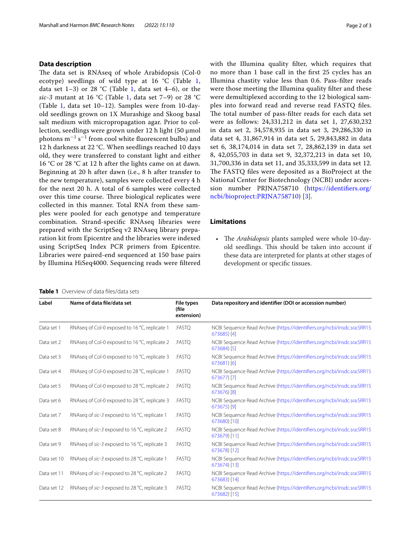## **Data description**

The data set is RNAseq of whole Arabidopsis (Col-0) ecotype) seedlings of wild type at  $16 °C$  $16 °C$  (Table 1, data set  $1-3$  $1-3$ ) or  $28$  °C (Table 1, data set  $4-6$ ), or the sic-3 mutant at 16 °C (Table [1,](#page-1-0) data set 7-9) or 28 °C (Table [1,](#page-1-0) data set  $10-12$ ). Samples were from  $10$ -dayold seedlings grown on 1X Murashige and Skoog basal salt medium with micropropagation agar. Prior to collection, seedlings were grown under 12 h light (50 μmol photons  $m^{-1}$  s<sup> $-1$ </sup> from cool white fluorescent bulbs) and 12 h darkness at 22 °C. When seedlings reached 10 days old, they were transferred to constant light and either 16 °C or 28 °C at 12 h after the lights came on at dawn. Beginning at 20 h after dawn (i.e., 8 h after transfer to the new temperature), samples were collected every 4 h for the next 20 h. A total of 6 samples were collected over this time course. Three biological replicates were collected in this manner. Total RNA from these samples were pooled for each genotype and temperature combination. Strand-specifc RNAseq libraries were prepared with the ScriptSeq v2 RNAseq library preparation kit from Epicentre and the libraries were indexed using ScriptSeq Index PCR primers from Epicentre. Libraries were paired-end sequenced at 150 base pairs by Illumina HiSeq4000. Sequencing reads were fltered

#### <span id="page-1-0"></span>**Table 1** Overview of data fles/data sets

with the Illumina quality flter, which requires that

no more than 1 base call in the frst 25 cycles has an Illumina chastity value less than 0.6. Pass-flter reads were those meeting the Illumina quality flter and these were demultiplexed according to the 12 biological samples into forward read and reverse read FASTQ fles. The total number of pass-filter reads for each data set were as follows: 24,331,212 in data set 1, 27,630,232 in data set 2, 34,578,935 in data set 3, 29,286,330 in data set 4, 31,867,914 in data set 5, 29,843,882 in data set 6, 38,174,014 in data set 7, 28,862,139 in data set 8, 42,055,703 in data set 9, 32,372,213 in data set 10, 31,700,336 in data set 11, and 35,333,599 in data set 12. The FASTQ files were deposited as a BioProject at the National Center for Biotechnology (NCBI) under accession number PRJNA758710 ([https://identifers.org/](https://identifiers.org/ncbi/bioproject:PRJNA758710) [ncbi/bioproject:PRJNA758710\)](https://identifiers.org/ncbi/bioproject:PRJNA758710) [[3](#page-2-2)].

# **Limitations**

• The *Arabidopsis* plants sampled were whole 10-dayold seedlings. This should be taken into account if these data are interpreted for plants at other stages of development or specifc tissues.

| Label       | Name of data file/data set                    | File types<br>(file<br>extension) | Data repository and identifier (DOI or accession number)                                 |
|-------------|-----------------------------------------------|-----------------------------------|------------------------------------------------------------------------------------------|
| Data set 1  | RNAseg of Col-0 exposed to 16 °C, replicate 1 | .FASTO                            | NCBI Sequence Read Archive (https://identifiers.org/ncbi/insdc.sra:SRR15<br>$673685$ [4] |
| Data set 2  | RNAseg of Col-0 exposed to 16 °C, replicate 2 | .FASTO                            | NCBI Sequence Read Archive (https://identifiers.org/ncbi/insdc.sra:SRR15<br>673684) [5]  |
| Data set 3  | RNAseg of Col-0 exposed to 16 °C, replicate 3 | .FASTO                            | NCBI Sequence Read Archive (https://identifiers.org/ncbi/insdc.sra:SRR15<br>673681) [6]  |
| Data set 4  | RNAseg of Col-0 exposed to 28 °C, replicate 1 | .FASTQ                            | NCBI Sequence Read Archive (https://identifiers.org/ncbi/insdc.sra:SRR15<br>673677) [7]  |
| Data set 5  | RNAseg of Col-0 exposed to 28 °C, replicate 2 | .FASTO                            | NCBI Sequence Read Archive (https://identifiers.org/ncbi/insdc.sra:SRR15<br>673676) [8]  |
| Data set 6  | RNAseg of Col-0 exposed to 28 °C, replicate 3 | .FASTO                            | NCBI Sequence Read Archive (https://identifiers.org/ncbi/insdc.sra:SRR15<br>673675) [9]  |
| Data set 7  | RNAseg of sic-3 exposed to 16 °C, replicate 1 | .FASTO                            | NCBI Sequence Read Archive (https://identifiers.org/ncbi/insdc.sra:SRR15<br>673680) [10] |
| Data set 8  | RNAseg of sic-3 exposed to 16 °C, replicate 2 | .FASTO                            | NCBI Sequence Read Archive (https://identifiers.org/ncbi/insdc.sra:SRR15<br>673679) [11] |
| Data set 9  | RNAseg of sic-3 exposed to 16 °C, replicate 3 | .FASTQ                            | NCBI Sequence Read Archive (https://identifiers.org/ncbi/insdc.sra:SRR15<br>673678) [12] |
| Data set 10 | RNAseg of sic-3 exposed to 28 °C, replicate 1 | .FASTQ                            | NCBI Sequence Read Archive (https://identifiers.org/ncbi/insdc.sra:SRR15<br>673674) [13] |
| Data set 11 | RNAseg of sic-3 exposed to 28 °C, replicate 2 | .FASTO                            | NCBI Sequence Read Archive (https://identifiers.org/ncbi/insdc.sra:SRR15<br>673683) [14] |
| Data set 12 | RNAseg of sic-3 exposed to 28 °C, replicate 3 | .FASTQ                            | NCBI Sequence Read Archive (https://identifiers.org/ncbi/insdc.sra:SRR15<br>673682) [15] |